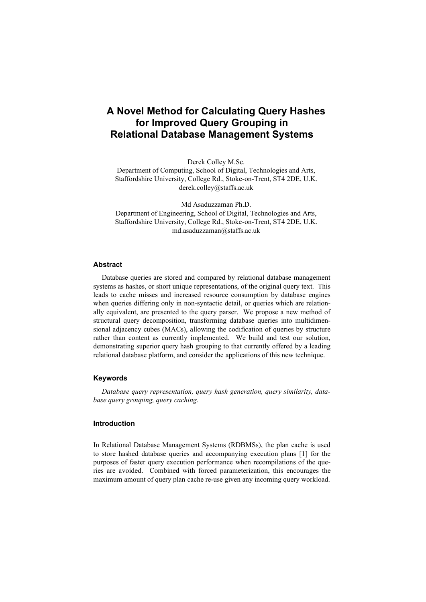# **A Novel Method for Calculating Query Hashes for Improved Query Grouping in Relational Database Management Systems**

Derek Colley M.Sc.

Department of Computing, School of Digital, Technologies and Arts, Staffordshire University, College Rd., Stoke-on-Trent, ST4 2DE, U.K. derek.colley@staffs.ac.uk

Md Asaduzzaman Ph.D. Department of Engineering, School of Digital, Technologies and Arts, Staffordshire University, College Rd., Stoke-on-Trent, ST4 2DE, U.K. md.asaduzzaman@staffs.ac.uk

# **Abstract**

Database queries are stored and compared by relational database management systems as hashes, or short unique representations, of the original query text. This leads to cache misses and increased resource consumption by database engines when queries differing only in non-syntactic detail, or queries which are relationally equivalent, are presented to the query parser. We propose a new method of structural query decomposition, transforming database queries into multidimensional adjacency cubes (MACs), allowing the codification of queries by structure rather than content as currently implemented. We build and test our solution, demonstrating superior query hash grouping to that currently offered by a leading relational database platform, and consider the applications of this new technique.

#### **Keywords**

*Database query representation, query hash generation, query similarity, database query grouping, query caching.*

#### **Introduction**

In Relational Database Management Systems (RDBMSs), the plan cache is used to store hashed database queries and accompanying execution plans [1] for the purposes of faster query execution performance when recompilations of the queries are avoided. Combined with forced parameterization, this encourages the maximum amount of query plan cache re-use given any incoming query workload.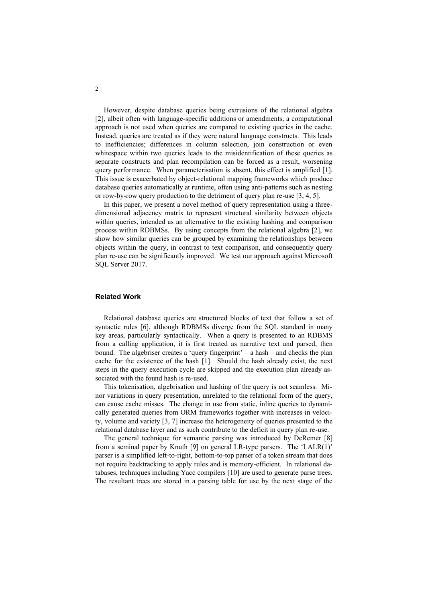However, despite database queries being extrusions of the relational algebra [2], albeit often with language-specific additions or amendments, a computational approach is not used when queries are compared to existing queries in the cache. Instead, queries are treated as if they were natural language constructs. This leads to inefficiencies; differences in column selection, join construction or even whitespace within two queries leads to the misidentification of these queries as separate constructs and plan recompilation can be forced as a result, worsening query performance. When parameterisation is absent, this effect is amplified [1]. This issue is exacerbated by object-relational mapping frameworks which produce database queries automatically at runtime, often using anti-patterns such as nesting or row-by-row query production to the detriment of query plan re-use [3, 4, 5].

In this paper, we present a novel method of query representation using a threedimensional adjacency matrix to represent structural similarity between objects within queries, intended as an alternative to the existing hashing and comparison process within RDBMSs. By using concepts from the relational algebra [2], we show how similar queries can be grouped by examining the relationships between objects within the query, in contrast to text comparison, and consequently query plan re-use can be significantly improved. We test our approach against Microsoft SQL Server 2017.

#### **Related Work**

Relational database queries are structured blocks of text that follow a set of syntactic rules [6], although RDBMSs diverge from the SQL standard in many key areas, particularly syntactically. When a query is presented to an RDBMS from a calling application, it is first treated as narrative text and parsed, then bound. The algebriser creates a 'query fingerprint' – a hash – and checks the plan cache for the existence of the hash [1]. Should the hash already exist, the next steps in the query execution cycle are skipped and the execution plan already associated with the found hash is re-used.

This tokenisation, algebrisation and hashing of the query is not seamless. Minor variations in query presentation, unrelated to the relational form of the query, can cause cache misses. The change in use from static, inline queries to dynamically generated queries from ORM frameworks together with increases in velocity, volume and variety [3, 7] increase the heterogeneity of queries presented to the relational database layer and as such contribute to the deficit in query plan re-use.

The general technique for semantic parsing was introduced by DeRemer [8] from a seminal paper by Knuth [9] on general LR-type parsers. The 'LALR(1)' parser is a simplified left-to-right, bottom-to-top parser of a token stream that does not require backtracking to apply rules and is memory-efficient. In relational databases, techniques including Yacc compilers [10] are used to generate parse trees. The resultant trees are stored in a parsing table for use by the next stage of the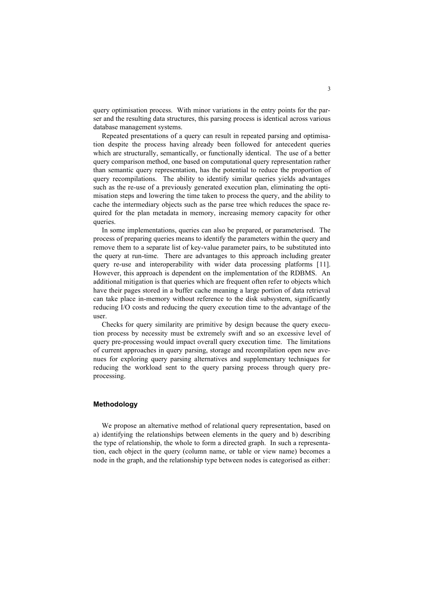query optimisation process. With minor variations in the entry points for the parser and the resulting data structures, this parsing process is identical across various database management systems.

Repeated presentations of a query can result in repeated parsing and optimisation despite the process having already been followed for antecedent queries which are structurally, semantically, or functionally identical. The use of a better query comparison method, one based on computational query representation rather than semantic query representation, has the potential to reduce the proportion of query recompilations. The ability to identify similar queries yields advantages such as the re-use of a previously generated execution plan, eliminating the optimisation steps and lowering the time taken to process the query, and the ability to cache the intermediary objects such as the parse tree which reduces the space required for the plan metadata in memory, increasing memory capacity for other queries.

In some implementations, queries can also be prepared, or parameterised. The process of preparing queries means to identify the parameters within the query and remove them to a separate list of key-value parameter pairs, to be substituted into the query at run-time. There are advantages to this approach including greater query re-use and interoperability with wider data processing platforms [11]. However, this approach is dependent on the implementation of the RDBMS. An additional mitigation is that queries which are frequent often refer to objects which have their pages stored in a buffer cache meaning a large portion of data retrieval can take place in-memory without reference to the disk subsystem, significantly reducing I/O costs and reducing the query execution time to the advantage of the user.

Checks for query similarity are primitive by design because the query execution process by necessity must be extremely swift and so an excessive level of query pre-processing would impact overall query execution time. The limitations of current approaches in query parsing, storage and recompilation open new avenues for exploring query parsing alternatives and supplementary techniques for reducing the workload sent to the query parsing process through query preprocessing.

# **Methodology**

We propose an alternative method of relational query representation, based on a) identifying the relationships between elements in the query and b) describing the type of relationship, the whole to form a directed graph. In such a representation, each object in the query (column name, or table or view name) becomes a node in the graph, and the relationship type between nodes is categorised as either: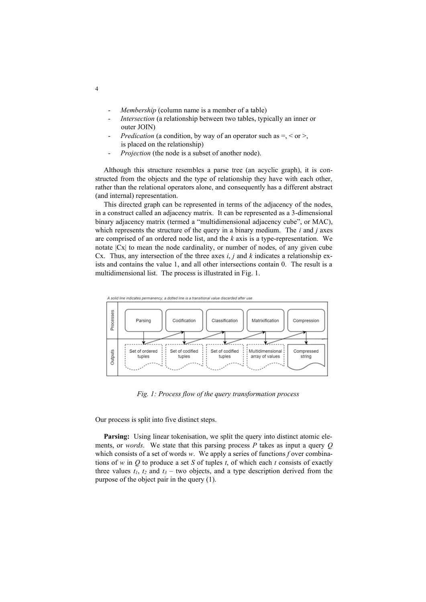- *Membership* (column name is a member of a table)
- Intersection (a relationship between two tables, typically an inner or outer JOIN)
- *Predication* (a condition, by way of an operator such as =, < or >, is placed on the relationship)
- *Projection* (the node is a subset of another node).

Although this structure resembles a parse tree (an acyclic graph), it is constructed from the objects and the type of relationship they have with each other, rather than the relational operators alone, and consequently has a different abstract (and internal) representation.

This directed graph can be represented in terms of the adjacency of the nodes, in a construct called an adjacency matrix. It can be represented as a 3-dimensional binary adjacency matrix (termed a "multidimensional adjacency cube", or MAC), which represents the structure of the query in a binary medium. The *i* and *j* axes are comprised of an ordered node list, and the *k* axis is a type-representation. We notate |Cx| to mean the node cardinality, or number of nodes, of any given cube Cx. Thus, any intersection of the three axes *i*, *j* and *k* indicates a relationship exists and contains the value 1, and all other intersections contain 0. The result is a multidimensional list. The process is illustrated in Fig. 1.



*Fig. 1: Process flow of the query transformation process*

Our process is split into five distinct steps.

**Parsing:** Using linear tokenisation, we split the query into distinct atomic elements, or *words*. We state that this parsing process *P* takes as input a query *Q* which consists of a set of words *w*. We apply a series of functions *f* over combinations of *w* in *Q* to produce a set *S* of tuples *t*, of which each *t* consists of exactly three values  $t_1$ ,  $t_2$  and  $t_3$  – two objects, and a type description derived from the purpose of the object pair in the query (1).

4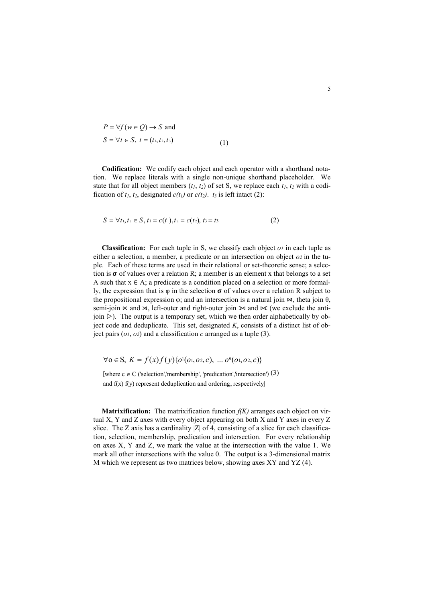$$
P = \forall f (w \in Q) \to S \text{ and}
$$
  
\n
$$
S = \forall t \in S, t = (t_1, t_2, t_3)
$$
 (1)

**Codification:** We codify each object and each operator with a shorthand notation. We replace literals with a single non-unique shorthand placeholder. We state that for all object members  $(t_1, t_2)$  of set S, we replace each  $t_1, t_2$  with a codification of  $t_1$ ,  $t_2$ , designated  $c(t_1)$  or  $c(t_2)$ .  $t_3$  is left intact (2):

$$
S = \forall t_1, t_2 \in S, t_1 = c(t_1), t_2 = c(t_2), t_3 = t_3 \tag{2}
$$

**Classification:** For each tuple in S, we classify each object *o<sup>1</sup>* in each tuple as either a selection, a member, a predicate or an intersection on object *o<sup>2</sup>* in the tuple. Each of these terms are used in their relational or set-theoretic sense; a selection is  $\sigma$  of values over a relation R; a member is an element x that belongs to a set A such that  $x \in A$ ; a predicate is a condition placed on a selection or more formally, the expression that is  $\varphi$  in the selection  $\sigma$  of values over a relation R subject to the propositional expression  $\varphi$ ; and an intersection is a natural join  $\varphi$ , theta join  $\theta$ , semi-join  $\ltimes$  and  $\rtimes$ , left-outer and right-outer join  $\ltimes$  and  $\ltimes$  (we exclude the antijoin  $\triangleright$ ). The output is a temporary set, which we then order alphabetically by object code and deduplicate. This set, designated *K*, consists of a distinct list of object pairs  $(o<sub>1</sub>, o<sub>2</sub>)$  and a classification *c* arranged as a tuple (3).

$$
\forall o \in S, K = f(x)f(y)\{o^1(o_1, o_2, c), \dots o^n(o_1, o_2, c)\}
$$

[where  $c \in C$  ('selection', 'membership', 'predication', 'intersection')  $(3)$ and f(x) f(y) represent deduplication and ordering, respectively]

**Matrixification:** The matrixification function *f(K)* arranges each object on virtual X, Y and Z axes with every object appearing on both X and Y axes in every Z slice. The Z axis has a cardinality  $|Z|$  of 4, consisting of a slice for each classification, selection, membership, predication and intersection. For every relationship on axes X, Y and Z, we mark the value at the intersection with the value 1. We mark all other intersections with the value 0. The output is a 3-dimensional matrix M which we represent as two matrices below, showing axes XY and YZ (4).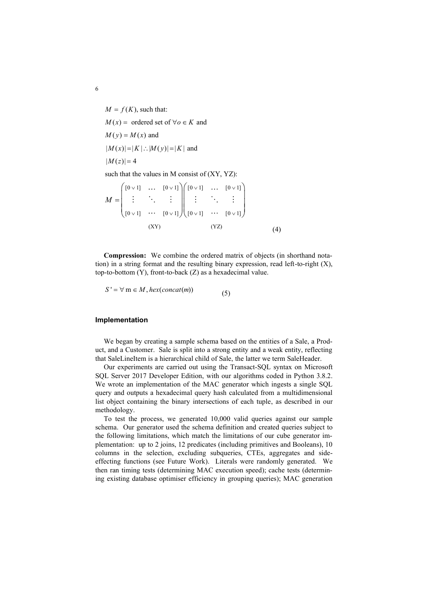$M = f(K)$ , such that:  $M(x) =$  ordered set of  $\forall o \in K$  and  $M(y) = M(x)$  and  $|M(x)| = |K|$ :  $|M(y)| = |K|$  and  $|M(z)| = 4$ such that the values in M consist of (XY, YZ):  $(0.41)$ 

$$
M = \begin{pmatrix} [0 \vee 1] & \cdots & [0 \vee 1] \\ \vdots & \ddots & \vdots \\ [0 \vee 1] & \cdots & [0 \vee 1] \end{pmatrix} \begin{pmatrix} [0 \vee 1] & \cdots & [0 \vee 1] \\ \vdots & \ddots & \vdots \\ [0 \vee 1] & \cdots & [0 \vee 1] \end{pmatrix}
$$
  
(XY) (YZ) (4)

**Compression:** We combine the ordered matrix of objects (in shorthand notation) in a string format and the resulting binary expression, read left-to-right (X), top-to-bottom (Y), front-to-back (Z) as a hexadecimal value.

$$
S' = \forall \, m \in M, hex(concat(m)) \tag{5}
$$

#### **Implementation**

We began by creating a sample schema based on the entities of a Sale, a Product, and a Customer. Sale is split into a strong entity and a weak entity, reflecting that SaleLineItem is a hierarchical child of Sale, the latter we term SaleHeader.

Our experiments are carried out using the Transact-SQL syntax on Microsoft SQL Server 2017 Developer Edition, with our algorithms coded in Python 3.8.2. We wrote an implementation of the MAC generator which ingests a single SQL query and outputs a hexadecimal query hash calculated from a multidimensional list object containing the binary intersections of each tuple, as described in our methodology.

To test the process, we generated 10,000 valid queries against our sample schema. Our generator used the schema definition and created queries subject to the following limitations, which match the limitations of our cube generator implementation: up to 2 joins, 12 predicates (including primitives and Booleans), 10 columns in the selection, excluding subqueries, CTEs, aggregates and sideeffecting functions (see Future Work). Literals were randomly generated. We then ran timing tests (determining MAC execution speed); cache tests (determining existing database optimiser efficiency in grouping queries); MAC generation

6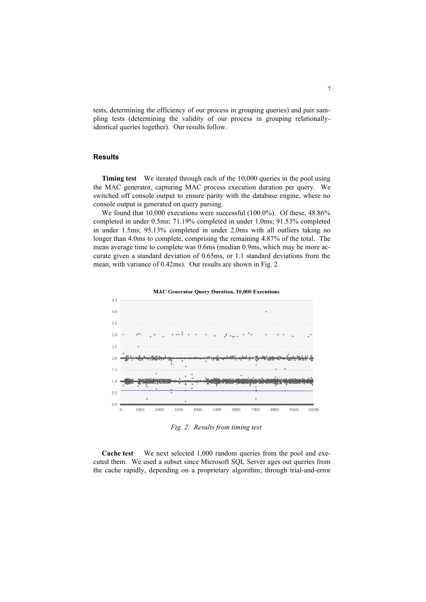tests, determining the efficiency of our process in grouping queries) and pair sampling tests (determining the validity of our process in grouping relationallyidentical queries together). Our results follow.

### **Results**

**Timing test** We iterated through each of the 10,000 queries in the pool using the MAC generator, capturing MAC process execution duration per query. We switched off console output to ensure parity with the database engine, where no console output is generated on query parsing.

We found that 10,000 executions were successful (100.0%). Of these, 48.86% completed in under 0.5ms; 71.19% completed in under 1.0ms; 91.53% completed in under 1.5ms; 95.13% completed in under 2.0ms with all outliers taking no longer than 4.0ms to complete, comprising the remaining 4.87% of the total. The mean average time to complete was 0.6ms (median 0.9ms, which may be more accurate given a standard deviation of 0.65ms, or 1.1 standard deviations from the mean, with variance of 0.42ms). Our results are shown in Fig. 2.



**MAC Generator Query Duration, 10,000 Executions** 

*Fig. 2: Results from timing test*

**Cache test** We next selected 1,000 random queries from the pool and executed them. We used a subset since Microsoft SQL Server ages out queries from the cache rapidly, depending on a proprietary algorithm; through trial-and-error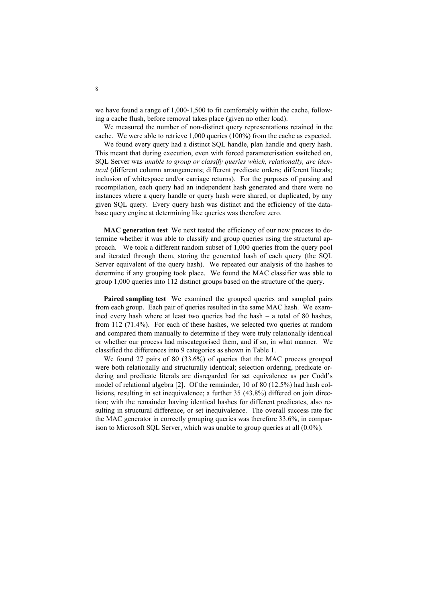we have found a range of 1,000-1,500 to fit comfortably within the cache, following a cache flush, before removal takes place (given no other load).

We measured the number of non-distinct query representations retained in the cache. We were able to retrieve 1,000 queries (100%) from the cache as expected.

We found every query had a distinct SQL handle, plan handle and query hash. This meant that during execution, even with forced parameterisation switched on, SQL Server was *unable to group or classify queries which, relationally, are identical* (different column arrangements; different predicate orders; different literals; inclusion of whitespace and/or carriage returns). For the purposes of parsing and recompilation, each query had an independent hash generated and there were no instances where a query handle or query hash were shared, or duplicated, by any given SQL query. Every query hash was distinct and the efficiency of the database query engine at determining like queries was therefore zero.

**MAC generation test** We next tested the efficiency of our new process to determine whether it was able to classify and group queries using the structural approach. We took a different random subset of 1,000 queries from the query pool and iterated through them, storing the generated hash of each query (the SQL Server equivalent of the query hash). We repeated our analysis of the hashes to determine if any grouping took place. We found the MAC classifier was able to group 1,000 queries into 112 distinct groups based on the structure of the query.

**Paired sampling test** We examined the grouped queries and sampled pairs from each group. Each pair of queries resulted in the same MAC hash. We examined every hash where at least two queries had the hash – a total of 80 hashes, from 112 (71.4%). For each of these hashes, we selected two queries at random and compared them manually to determine if they were truly relationally identical or whether our process had miscategorised them, and if so, in what manner. We classified the differences into 9 categories as shown in Table 1.

We found 27 pairs of 80 (33.6%) of queries that the MAC process grouped were both relationally and structurally identical; selection ordering, predicate ordering and predicate literals are disregarded for set equivalence as per Codd's model of relational algebra [2]. Of the remainder, 10 of 80 (12.5%) had hash collisions, resulting in set inequivalence; a further 35 (43.8%) differed on join direction; with the remainder having identical hashes for different predicates, also resulting in structural difference, or set inequivalence. The overall success rate for the MAC generator in correctly grouping queries was therefore 33.6%, in comparison to Microsoft SQL Server, which was unable to group queries at all (0.0%).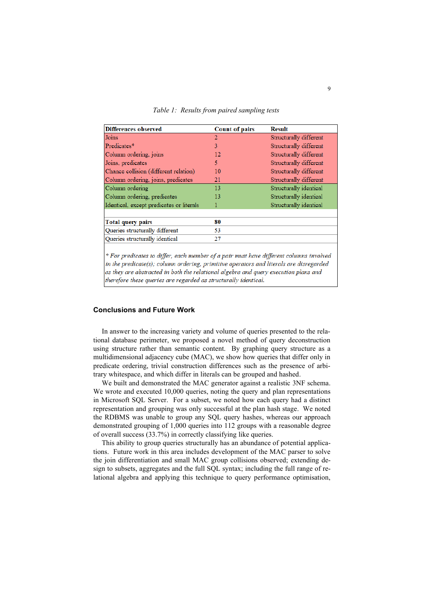| <b>Differences observed</b>              | <b>Count of pairs</b> | <b>Result</b>          |
|------------------------------------------|-----------------------|------------------------|
| Joins                                    | $\overline{2}$        | Structurally different |
| Predicates*                              | 3                     | Structurally different |
| Column ordering, joins                   | 12                    | Structurally different |
| Joins, predicates                        | 5                     | Structurally different |
| Chance collision (different relation)    | 10                    | Structurally different |
| Column ordering, joins, predicates       | 21                    | Structurally different |
| Column ordering                          | 13                    | Structurally identical |
| Column ordering, predicates              | 13                    | Structurally identical |
| Identical, except predicates or literals | 1                     | Structurally identical |
|                                          |                       |                        |
| <b>Total query pairs</b>                 | 80                    |                        |
| Queries structurally different           | 53                    |                        |
| Queries structurally identical           | 27                    |                        |
|                                          |                       |                        |

*Table 1: Results from paired sampling tests*

\* For predicates to differ, each member of a pair must have different columns involved in the predicate(s); column ordering, primitive operators and literals are disregarded as they are abstracted in both the relational algebra and query execution plans and therefore these queries are regarded as structurally identical.

# **Conclusions and Future Work**

In answer to the increasing variety and volume of queries presented to the relational database perimeter, we proposed a novel method of query deconstruction using structure rather than semantic content. By graphing query structure as a multidimensional adjacency cube (MAC), we show how queries that differ only in predicate ordering, trivial construction differences such as the presence of arbitrary whitespace, and which differ in literals can be grouped and hashed.

We built and demonstrated the MAC generator against a realistic 3NF schema. We wrote and executed 10,000 queries, noting the query and plan representations in Microsoft SQL Server. For a subset, we noted how each query had a distinct representation and grouping was only successful at the plan hash stage. We noted the RDBMS was unable to group any SQL query hashes, whereas our approach demonstrated grouping of 1,000 queries into 112 groups with a reasonable degree of overall success (33.7%) in correctly classifying like queries.

This ability to group queries structurally has an abundance of potential applications. Future work in this area includes development of the MAC parser to solve the join differentiation and small MAC group collisions observed; extending design to subsets, aggregates and the full SQL syntax; including the full range of relational algebra and applying this technique to query performance optimisation,